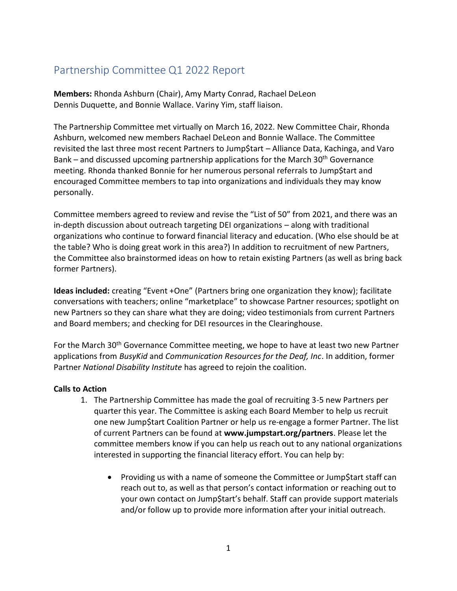## Partnership Committee Q1 2022 Report

**Members:** Rhonda Ashburn (Chair), Amy Marty Conrad, Rachael DeLeon Dennis Duquette, and Bonnie Wallace. Variny Yim, staff liaison.

The Partnership Committee met virtually on March 16, 2022. New Committee Chair, Rhonda Ashburn, welcomed new members Rachael DeLeon and Bonnie Wallace. The Committee revisited the last three most recent Partners to Jump\$tart – Alliance Data, Kachinga, and Varo Bank – and discussed upcoming partnership applications for the March  $30<sup>th</sup>$  Governance meeting. Rhonda thanked Bonnie for her numerous personal referrals to Jump\$tart and encouraged Committee members to tap into organizations and individuals they may know personally.

Committee members agreed to review and revise the "List of 50" from 2021, and there was an in-depth discussion about outreach targeting DEI organizations – along with traditional organizations who continue to forward financial literacy and education. (Who else should be at the table? Who is doing great work in this area?) In addition to recruitment of new Partners, the Committee also brainstormed ideas on how to retain existing Partners (as well as bring back former Partners).

**Ideas included:** creating "Event +One" (Partners bring one organization they know); facilitate conversations with teachers; online "marketplace" to showcase Partner resources; spotlight on new Partners so they can share what they are doing; video testimonials from current Partners and Board members; and checking for DEI resources in the Clearinghouse.

For the March 30<sup>th</sup> Governance Committee meeting, we hope to have at least two new Partner applications from *BusyKid* and *Communication Resources for the Deaf, Inc*. In addition, former Partner *National Disability Institute* has agreed to rejoin the coalition.

## **Calls to Action**

- 1. The Partnership Committee has made the goal of recruiting 3-5 new Partners per quarter this year. The Committee is asking each Board Member to help us recruit one new Jump\$tart Coalition Partner or help us re-engage a former Partner. The list of current Partners can be found at **www.jumpstart.org/partners**. Please let the committee members know if you can help us reach out to any national organizations interested in supporting the financial literacy effort. You can help by:
	- Providing us with a name of someone the Committee or Jump\$tart staff can reach out to, as well as that person's contact information or reaching out to your own contact on Jump\$tart's behalf. Staff can provide support materials and/or follow up to provide more information after your initial outreach.